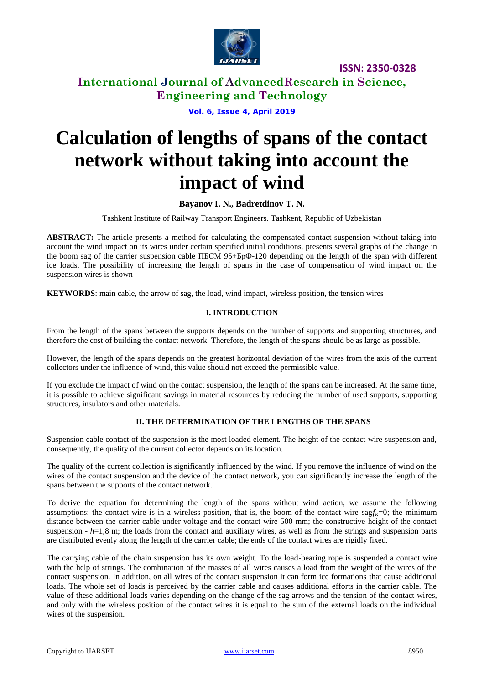

**International Journal of AdvancedResearch in Science, Engineering and Technology**

**Vol. 6, Issue 4, April 2019**

# **Calculation of lengths of spans of the contact network without taking into account the impact of wind**

## **Bayanov I. N., Badretdinov T. N.**

Tashkent Institute of Railway Transport Engineers. Tashkent, Republic of Uzbekistan

**ABSTRACT:** The article presents a method for calculating the compensated contact suspension without taking into account the wind impact on its wires under certain specified initial conditions, presents several graphs of the change in the boom sag of the carrier suspension cable ПБСМ 95+БрФ-120 depending on the length of the span with different ice loads. The possibility of increasing the length of spans in the case of compensation of wind impact on the suspension wires is shown

**KEYWORDS**: main cable, the arrow of sag, the load, wind impact, wireless position, the tension wires

#### **I. INTRODUCTION**

From the length of the spans between the supports depends on the number of supports and supporting structures, and therefore the cost of building the contact network. Therefore, the length of the spans should be as large as possible.

However, the length of the spans depends on the greatest horizontal deviation of the wires from the axis of the current collectors under the influence of wind, this value should not exceed the permissible value.

If you exclude the impact of wind on the contact suspension, the length of the spans can be increased. At the same time, it is possible to achieve significant savings in material resources by reducing the number of used supports, supporting structures, insulators and other materials.

#### **II. THE DETERMINATION OF THE LENGTHS OF THE SPANS**

Suspension cable contact of the suspension is the most loaded element. The height of the contact wire suspension and, consequently, the quality of the current collector depends on its location.

The quality of the current collection is significantly influenced by the wind. If you remove the influence of wind on the wires of the contact suspension and the device of the contact network, you can significantly increase the length of the spans between the supports of the contact network.

To derive the equation for determining the length of the spans without wind action, we assume the following assumptions: the contact wire is in a wireless position, that is, the boom of the contact wire sag $f_k=0$ ; the minimum distance between the carrier cable under voltage and the contact wire 500 mm; the constructive height of the contact suspension  $-h=1,8$  m; the loads from the contact and auxiliary wires, as well as from the strings and suspension parts are distributed evenly along the length of the carrier cable; the ends of the contact wires are rigidly fixed.

The carrying cable of the chain suspension has its own weight. To the load-bearing rope is suspended a contact wire with the help of strings. The combination of the masses of all wires causes a load from the weight of the wires of the contact suspension. In addition, on all wires of the contact suspension it can form ice formations that cause additional loads. The whole set of loads is perceived by the carrier cable and causes additional efforts in the carrier cable. The value of these additional loads varies depending on the change of the sag arrows and the tension of the contact wires, and only with the wireless position of the contact wires it is equal to the sum of the external loads on the individual wires of the suspension.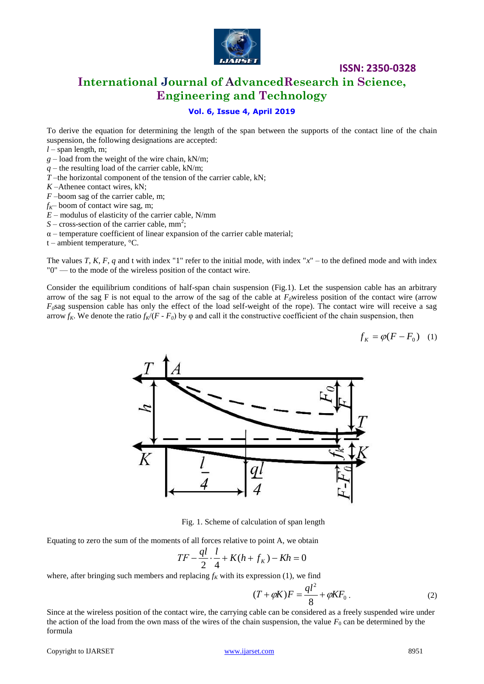

## **International Journal of AdvancedResearch in Science, Engineering and Technology**

### **Vol. 6, Issue 4, April 2019**

To derive the equation for determining the length of the span between the supports of the contact line of the chain suspension, the following designations are accepted:

- *l –* span length, m;
- *g –* load from the weight of the wire chain, kN/m;
- *q –* the resulting load of the carrier cable, kN/m;
- *T –*the horizontal component of the tension of the carrier cable, kN;
- *K –*Athenee contact wires, kN;
- *F –*boom sag of the carrier cable, m;
- $f_K$  boom of contact wire sag, m;
- *E –* modulus of elasticity of the carrier cable, N/mm
- $S$  cross-section of the carrier cable, mm<sup>2</sup>;
- $\alpha$  temperature coefficient of linear expansion of the carrier cable material;
- t ambient temperature,  $\mathrm{C}$ .

The values *T*, *K*, *F*, *q* and t with index "1" refer to the initial mode, with index " $x''$  – to the defined mode and with index "0" — to the mode of the wireless position of the contact wire.

Consider the equilibrium conditions of half-span chain suspension (Fig.1). Let the suspension cable has an arbitrary arrow of the sag F is not equal to the arrow of the sag of the cable at  $F_0$ wireless position of the contact wire (arrow  $F_0$ sag suspension cable has only the effect of the load self-weight of the rope). The contact wire will receive a sag arrow  $f_K$ . We denote the ratio  $f_K/(F - F_0)$  by  $\varphi$  and call it the constructive coefficient of the chain suspension, then

$$
f_K = \varphi(F - F_0) \quad (1)
$$



Fig. 1. Scheme of calculation of span length

Equating to zero the sum of the moments of all forces relative to point A, we obtain

$$
TF - \frac{ql}{2} \cdot \frac{l}{4} + K(h + f_k) - Kh = 0
$$

where, after bringing such members and replacing  $f_K$  with its expression (1), we find

$$
(T + \varphi K)F = \frac{q l^2}{8} + \varphi K F_0.
$$
 (2)

Since at the wireless position of the contact wire, the carrying cable can be considered as a freely suspended wire under the action of the load from the own mass of the wires of the chain suspension, the value  $F_0$  can be determined by the formula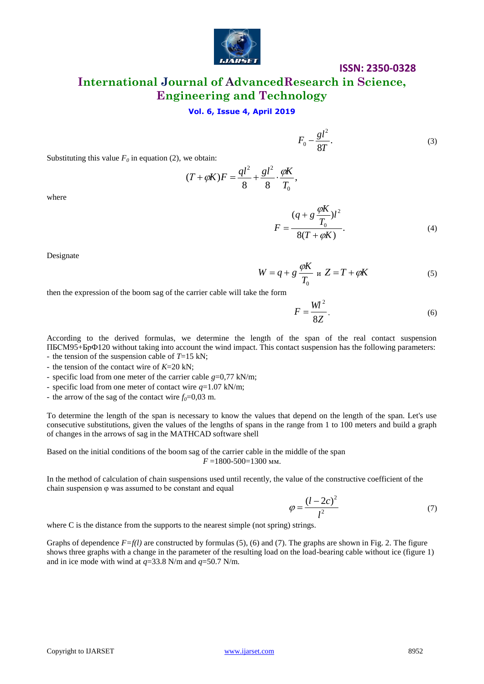

**International Journal of AdvancedResearch in Science, Engineering and Technology**

#### **Vol. 6, Issue 4, April 2019**

$$
F_0 - \frac{gl^2}{8T}.\tag{3}
$$

Substituting this value  $F_0$  in equation (2), we obtain:

$$
(T + \varphi K)F = \frac{ql^2}{8} + \frac{gl^2}{8} \cdot \frac{\varphi K}{T_0},
$$

where

$$
F = \frac{(q + g \frac{\phi K}{T_0})l^2}{8(T + \phi K)}.
$$
\n(4)

*K*

Designate

$$
W = q + g \frac{\phi K}{T_0} \quad \text{if} \quad Z = T + \phi K \tag{5}
$$

then the expression of the boom sag of the carrier cable will take the form

$$
F = \frac{Wl^2}{8Z}.
$$
 (6)

According to the derived formulas, we determine the length of the span of the real contact suspension ПБСМ95+БрФ120 without taking into account the wind impact. This contact suspension has the following parameters:

- the tension of the suspension cable of *T*=15 kN;

- the tension of the contact wire of *K*=20 kN;

- specific load from one meter of the carrier cable *g*=0,77 kN/m;

- specific load from one meter of contact wire *q*=1.07 kN/m;

- the arrow of the sag of the contact wire  $f_0=0.03$  m.

To determine the length of the span is necessary to know the values that depend on the length of the span. Let's use consecutive substitutions, given the values of the lengths of spans in the range from 1 to 100 meters and build a graph of changes in the arrows of sag in the MATHCAD software shell

Based on the initial conditions of the boom sag of the carrier cable in the middle of the span *F* =1800-500=1300 мм.

In the method of calculation of chain suspensions used until recently, the value of the constructive coefficient of the chain suspension φ was assumed to be constant and equal

$$
\varphi = \frac{(l - 2c)^2}{l^2} \tag{7}
$$

where C is the distance from the supports to the nearest simple (not spring) strings.

Graphs of dependence  $F=f(l)$  are constructed by formulas (5), (6) and (7). The graphs are shown in Fig. 2. The figure shows three graphs with a change in the parameter of the resulting load on the load-bearing cable without ice (figure 1) and in ice mode with wind at *q*=33.8 N/m and *q*=50.7 N/m.